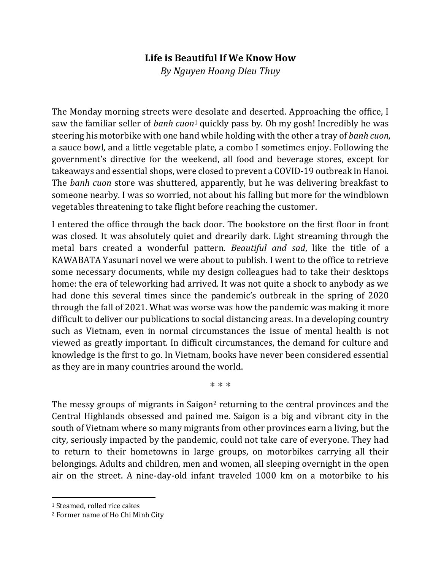## **Life is Beautiful If We Know How**

*By Nguyen Hoang Dieu Thuy*

The Monday morning streets were desolate and deserted. Approaching the office, I saw the familiar seller of *banh cuon*<sup>1</sup> quickly pass by. Oh my gosh! Incredibly he was steering his motorbike with one hand while holding with the other a tray of *banh cuon*, a sauce bowl, and a little vegetable plate, a combo I sometimes enjoy. Following the government's directive for the weekend, all food and beverage stores, except for takeaways and essential shops, were closed to prevent a COVID-19 outbreak in Hanoi. The *banh cuon* store was shuttered, apparently, but he was delivering breakfast to someone nearby. I was so worried, not about his falling but more for the windblown vegetables threatening to take flight before reaching the customer.

I entered the office through the back door. The bookstore on the first floor in front was closed. It was absolutely quiet and drearily dark. Light streaming through the metal bars created a wonderful pattern. *Beautiful and sad*, like the title of a KAWABATA Yasunari novel we were about to publish. I went to the office to retrieve some necessary documents, while my design colleagues had to take their desktops home: the era of teleworking had arrived. It was not quite a shock to anybody as we had done this several times since the pandemic's outbreak in the spring of 2020 through the fall of 2021. What was worse was how the pandemic was making it more difficult to deliver our publications to social distancing areas. In a developing country such as Vietnam, even in normal circumstances the issue of mental health is not viewed as greatly important. In difficult circumstances, the demand for culture and knowledge is the first to go. In Vietnam, books have never been considered essential as they are in many countries around the world.

\*\*\*

The messy groups of migrants in Saigon<sup>2</sup> returning to the central provinces and the Central Highlands obsessed and pained me. Saigon is a big and vibrant city in the south of Vietnam where so many migrants from other provinces earn a living, but the city, seriously impacted by the pandemic, could not take care of everyone. They had to return to their hometowns in large groups, on motorbikes carrying all their belongings. Adults and children, men and women, all sleeping overnight in the open air on the street. A nine-day-old infant traveled 1000 km on a motorbike to his

 $\overline{a}$ 

<sup>1</sup> Steamed, rolled rice cakes

<sup>2</sup> Former name of Ho Chi Minh City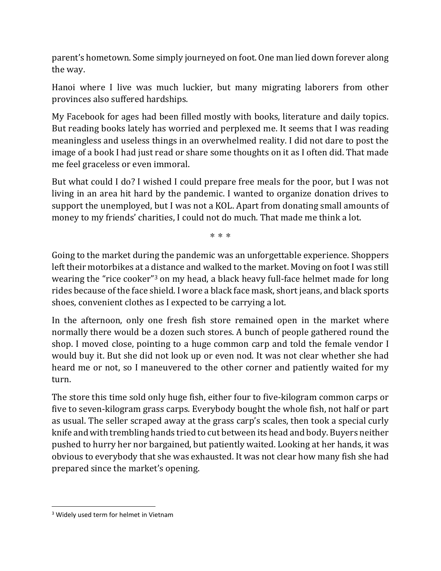parent's hometown. Some simply journeyed on foot. One man lied down forever along the way.

Hanoi where I live was much luckier, but many migrating laborers from other provinces also suffered hardships.

My Facebook for ages had been filled mostly with books, literature and daily topics. But reading books lately has worried and perplexed me. It seems that I was reading meaningless and useless things in an overwhelmed reality. I did not dare to post the image of a book I had just read or share some thoughts on it as I often did. That made me feel graceless or even immoral.

But what could I do? I wished I could prepare free meals for the poor, but I was not living in an area hit hard by the pandemic. I wanted to organize donation drives to support the unemployed, but I was not a KOL. Apart from donating small amounts of money to my friends' charities, I could not do much. That made me think a lot.

\*\*\*

Going to the market during the pandemic was an unforgettable experience. Shoppers left their motorbikes at a distance and walked to the market. Moving on foot I was still wearing the "rice cooker"<sup>3</sup> on my head, a black heavy full-face helmet made for long rides because of the face shield. I wore a black face mask, short jeans, and black sports shoes, convenient clothes as I expected to be carrying a lot.

In the afternoon, only one fresh fish store remained open in the market where normally there would be a dozen such stores. A bunch of people gathered round the shop. I moved close, pointing to a huge common carp and told the female vendor I would buy it. But she did not look up or even nod. It was not clear whether she had heard me or not, so I maneuvered to the other corner and patiently waited for my turn.

The store this time sold only huge fish, either four to five-kilogram common carps or five to seven-kilogram grass carps. Everybody bought the whole fish, not half or part as usual. The seller scraped away at the grass carp's scales, then took a special curly knife and with trembling hands tried to cut between its head and body. Buyers neither pushed to hurry her nor bargained, but patiently waited. Looking at her hands, it was obvious to everybody that she was exhausted. It was not clear how many fish she had prepared since the market's opening.

 $\overline{a}$ 

<sup>&</sup>lt;sup>3</sup> Widely used term for helmet in Vietnam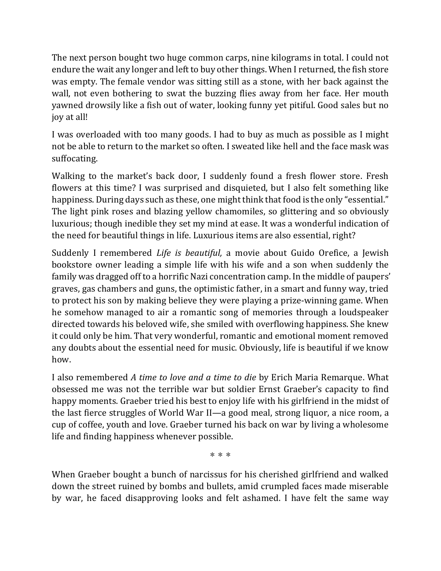The next person bought two huge common carps, nine kilograms in total. I could not endure the wait any longer and left to buy other things. When I returned, the fish store was empty. The female vendor was sitting still as a stone, with her back against the wall, not even bothering to swat the buzzing flies away from her face. Her mouth yawned drowsily like a fish out of water, looking funny yet pitiful. Good sales but no joy at all!

I was overloaded with too many goods. I had to buy as much as possible as I might not be able to return to the market so often. I sweated like hell and the face mask was suffocating.

Walking to the market's back door, I suddenly found a fresh flower store. Fresh flowers at this time? I was surprised and disquieted, but I also felt something like happiness. During days such as these, one might think that food is the only "essential." The light pink roses and blazing yellow chamomiles, so glittering and so obviously luxurious; though inedible they set my mind at ease. It was a wonderful indication of the need for beautiful things in life. Luxurious items are also essential, right?

Suddenly I remembered *Life is beautiful,* a movie about Guido Orefice, a Jewish bookstore owner leading a simple life with his wife and a son when suddenly the family was dragged off to a horrific Nazi concentration camp. In the middle of paupers' graves, gas chambers and guns, the optimistic father, in a smart and funny way, tried to protect his son by making believe they were playing a prize-winning game. When he somehow managed to air a romantic song of memories through a loudspeaker directed towards his beloved wife, she smiled with overflowing happiness. She knew it could only be him. That very wonderful, romantic and emotional moment removed any doubts about the essential need for music. Obviously, life is beautiful if we know how.

I also remembered *A time to love and a time to die* by Erich Maria Remarque. What obsessed me was not the terrible war but soldier Ernst Graeber's capacity to find happy moments. Graeber tried his best to enjoy life with his girlfriend in the midst of the last fierce struggles of World War II—a good meal, strong liquor, a nice room, a cup of coffee, youth and love. Graeber turned his back on war by living a wholesome life and finding happiness whenever possible.

\*\*\*

When Graeber bought a bunch of narcissus for his cherished girlfriend and walked down the street ruined by bombs and bullets, amid crumpled faces made miserable by war, he faced disapproving looks and felt ashamed. I have felt the same way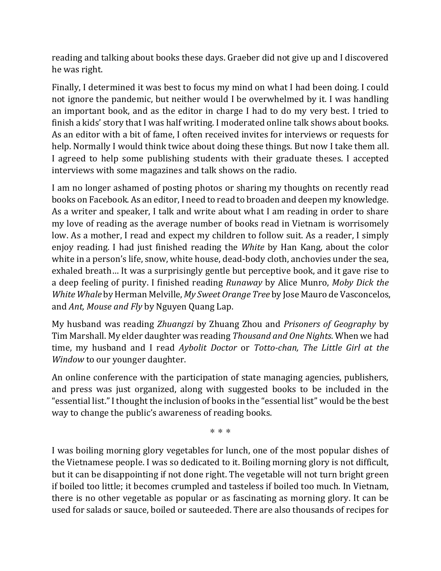reading and talking about books these days. Graeber did not give up and I discovered he was right.

Finally, I determined it was best to focus my mind on what I had been doing. I could not ignore the pandemic, but neither would I be overwhelmed by it. I was handling an important book, and as the editor in charge I had to do my very best. I tried to finish a kids' story that I was half writing. I moderated online talk shows about books. As an editor with a bit of fame, I often received invites for interviews or requests for help. Normally I would think twice about doing these things. But now I take them all. I agreed to help some publishing students with their graduate theses. I accepted interviews with some magazines and talk shows on the radio.

I am no longer ashamed of posting photos or sharing my thoughts on recently read books on Facebook. As an editor, I need to read to broaden and deepen my knowledge. As a writer and speaker, I talk and write about what I am reading in order to share my love of reading as the average number of books read in Vietnam is worrisomely low. As a mother, I read and expect my children to follow suit. As a reader, I simply enjoy reading. I had just finished reading the *White* by Han Kang, about the color white in a person's life, snow, white house, dead-body cloth, anchovies under the sea, exhaled breath… It was a surprisingly gentle but perceptive book, and it gave rise to a deep feeling of purity. I finished reading *Runaway* by Alice Munro, *Moby Dick the White Whale* by Herman Melville, *My Sweet Orange Tree* by Jose Mauro de Vasconcelos, and *Ant, Mouse and Fly* by Nguyen Quang Lap.

My husband was reading *Zhuangzi* by Zhuang Zhou and *Prisoners of Geography* by Tim Marshall. My elder daughter was reading *Thousand and One Nights*. When we had time, my husband and I read *Aybolit Doctor* or *Totto-chan, The Little Girl at the Window* to our younger daughter.

An online conference with the participation of state managing agencies, publishers, and press was just organized, along with suggested books to be included in the "essential list."I thought the inclusion of books in the "essential list" would be the best way to change the public's awareness of reading books.

\*\*\*

I was boiling morning glory vegetables for lunch, one of the most popular dishes of the Vietnamese people. I was so dedicated to it. Boiling morning glory is not difficult, but it can be disappointing if not done right. The vegetable will not turn bright green if boiled too little; it becomes crumpled and tasteless if boiled too much. In Vietnam, there is no other vegetable as popular or as fascinating as morning glory. It can be used for salads or sauce, boiled or sauteeded. There are also thousands of recipes for